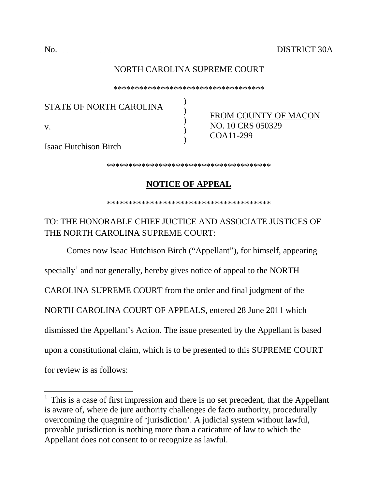FROM COUNTY OF MACON

NO. 10 CRS 050329

COA11-299

No. **\_\_\_\_\_\_\_\_\_\_\_\_\_\_\_** DISTRICT 30A

## NORTH CAROLINA SUPREME COURT

\*\*\*\*\*\*\*\*\*\*\*\*\*\*\*\*\*\*\*\*\*\*\*\*\*\*\*\*\*\*\*\*\*\*\*

) ) ) ) )

STATE OF NORTH CAROLINA

v.

l

Isaac Hutchison Birch

\*\*\*\*\*\*\*\*\*\*\*\*\*\*\*\*\*\*\*\*\*\*\*\*\*\*\*\*\*\*\*\*\*\*\*\*\*\*

## **NOTICE OF APPEAL**

\*\*\*\*\*\*\*\*\*\*\*\*\*\*\*\*\*\*\*\*\*\*\*\*\*\*\*\*\*\*\*\*\*\*\*\*\*\*

## TO: THE HONORABLE CHIEF JUCTICE AND ASSOCIATE JUSTICES OF THE NORTH CAROLINA SUPREME COURT:

Comes now Isaac Hutchison Birch ("Appellant"), for himself, appearing specially<sup>[1](#page-0-0)</sup> and not generally, hereby gives notice of appeal to the NORTH CAROLINA SUPREME COURT from the order and final judgment of the NORTH CAROLINA COURT OF APPEALS, entered 28 June 2011 which dismissed the Appellant's Action. The issue presented by the Appellant is based upon a constitutional claim, which is to be presented to this SUPREME COURT for review is as follows:

<span id="page-0-0"></span> $<sup>1</sup>$  This is a case of first impression and there is no set precedent, that the Appellant</sup> is aware of, where de jure authority challenges de facto authority, procedurally overcoming the quagmire of 'jurisdiction'. A judicial system without lawful, provable jurisdiction is nothing more than a caricature of law to which the Appellant does not consent to or recognize as lawful.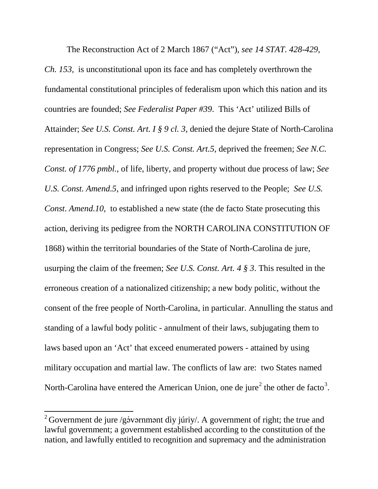<span id="page-1-1"></span>The Reconstruction Act of 2 March 1867 ("Act"), *see 14 STAT. 428-429, Ch. 153,* is unconstitutional upon its face and has completely overthrown the fundamental constitutional principles of federalism upon which this nation and its countries are founded; *See Federalist Paper #39*. This 'Act' utilized Bills of Attainder; *See U.S. Const. Art. I § 9 cl. 3,* denied the dejure State of North-Carolina representation in Congress; *See U.S. Const. Art.5*, deprived the freemen; *See N.C. Const. of 1776 pmbl.,* of life, liberty, and property without due process of law; *See U.S. Const. Amend.5*, and infringed upon rights reserved to the People; *See U.S. Const*. *Amend.10,* to established a new state (the de facto State prosecuting this action, deriving its pedigree from the NORTH CAROLINA CONSTITUTION OF 1868) within the territorial boundaries of the State of North-Carolina de jure, usurping the claim of the freemen; *See U.S. Const. Art. 4 § 3*. This resulted in the erroneous creation of a nationalized citizenship; a new body politic, without the consent of the free people of North-Carolina, in particular. Annulling the status and standing of a lawful body politic - annulment of their laws, subjugating them to laws based upon an 'Act' that exceed enumerated powers - attained by using military occupation and martial law. The conflicts of law are: two States named North-Carolina have entered the American Union, one de jure<sup>[2](#page-1-0)</sup> the other de facto<sup>[3](#page-1-1)</sup>.

ı

<span id="page-1-0"></span><sup>&</sup>lt;sup>2</sup> Government de jure /gə́vərnmənt dìy júriy/. A government of right; the true and lawful government; a government established according to the constitution of the nation, and lawfully entitled to recognition and supremacy and the administration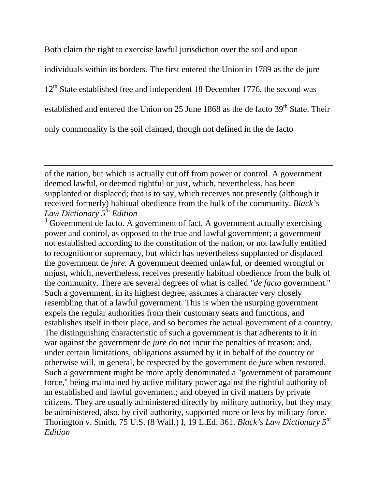Both claim the right to exercise lawful jurisdiction over the soil and upon

individuals within its borders. The first entered the Union in 1789 as the de jure

12<sup>th</sup> State established free and independent 18 December 1776, the second was

established and entered the Union on 25 June 1868 as the de facto 39<sup>th</sup> State. Their

only commonality is the soil claimed, though not defined in the de facto

l

 $3$  Government de facto. A government of fact. A government actually exercising power and control, as opposed to the true and lawful government; a government not established according to the constitution of the nation, or not lawfully entitled to recognition or supremacy, but which has nevertheless supplanted or displaced the government de *jure.* A government deemed unlawful, or deemed wrongful or unjust, which, nevertheless, receives presently habitual obedience from the bulk of the community. There are several degrees of what is called *"de facto* government." Such a government, in its highest degree, assumes a character very closely resembling that of a lawful government. This is when the usurping government expels the regular authorities from their customary seats and functions, and establishes itself in their place, and so becomes the actual government of a country. The distinguishing characteristic of such a government is that adherents to it in war against the government de *jure* do not incur the penalties of treason; and, under certain limitations, obligations assumed by it in behalf of the country or otherwise will, in general, be respected by the government de *jure* when restored. Such a government might be more aptly denominated a "government of paramount force," being maintained by active military power against the rightful authority of an established and lawful government; and obeyed in civil matters by private citizens. They are usually administered directly by military authority, but they may be administered, also, by civil authority, supported more or less by military force. Thorington v. Smith, 75 U.S. (8 Wall.) I, 19 L.Ed. 361. *Black's Law Dictionary 5th Edition*

of the nation, but which is actually cut off from power or control. A government deemed lawful, or deemed rightful or just, which, nevertheless, has been supplanted or displaced; that is to say, which receives not presently (although it received formerly) habitual obedience from the bulk of the community. *Black's Law Dictionary 5th Edition*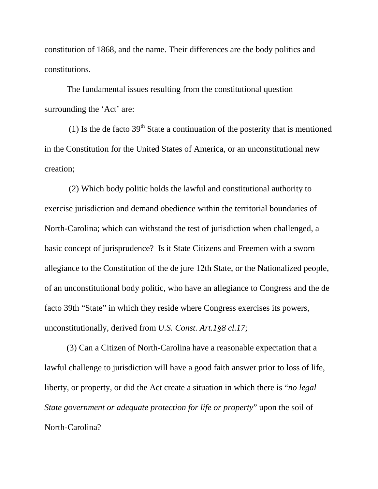constitution of 1868, and the name. Their differences are the body politics and constitutions.

The fundamental issues resulting from the constitutional question surrounding the 'Act' are:

(1) Is the de facto  $39<sup>th</sup>$  State a continuation of the posterity that is mentioned in the Constitution for the United States of America, or an unconstitutional new creation;

(2) Which body politic holds the lawful and constitutional authority to exercise jurisdiction and demand obedience within the territorial boundaries of North-Carolina; which can withstand the test of jurisdiction when challenged, a basic concept of jurisprudence? Is it State Citizens and Freemen with a sworn allegiance to the Constitution of the de jure 12th State, or the Nationalized people, of an unconstitutional body politic, who have an allegiance to Congress and the de facto 39th "State" in which they reside where Congress exercises its powers, unconstitutionally, derived from *U.S. Const. Art.1§8 cl.17;*

(3) Can a Citizen of North-Carolina have a reasonable expectation that a lawful challenge to jurisdiction will have a good faith answer prior to loss of life, liberty, or property, or did the Act create a situation in which there is "*no legal State government or adequate protection for life or property*" upon the soil of North-Carolina?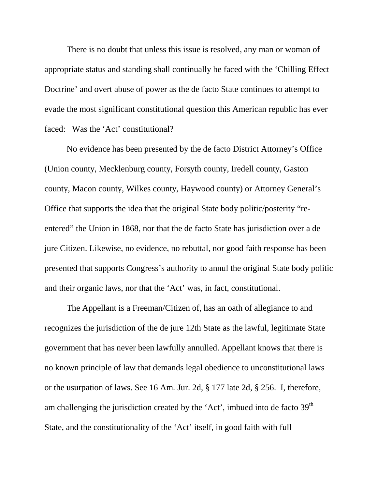There is no doubt that unless this issue is resolved, any man or woman of appropriate status and standing shall continually be faced with the 'Chilling Effect Doctrine' and overt abuse of power as the de facto State continues to attempt to evade the most significant constitutional question this American republic has ever faced: Was the 'Act' constitutional?

No evidence has been presented by the de facto District Attorney's Office (Union county, Mecklenburg county, Forsyth county, Iredell county, Gaston county, Macon county, Wilkes county, Haywood county) or Attorney General's Office that supports the idea that the original State body politic/posterity "reentered" the Union in 1868, nor that the de facto State has jurisdiction over a de jure Citizen. Likewise, no evidence, no rebuttal, nor good faith response has been presented that supports Congress's authority to annul the original State body politic and their organic laws, nor that the 'Act' was, in fact, constitutional.

The Appellant is a Freeman/Citizen of, has an oath of allegiance to and recognizes the jurisdiction of the de jure 12th State as the lawful, legitimate State government that has never been lawfully annulled. Appellant knows that there is no known principle of law that demands legal obedience to unconstitutional laws or the usurpation of laws. See 16 Am. Jur. 2d, § 177 late 2d, § 256. I, therefore, am challenging the jurisdiction created by the 'Act', imbued into de facto  $39<sup>th</sup>$ State, and the constitutionality of the 'Act' itself, in good faith with full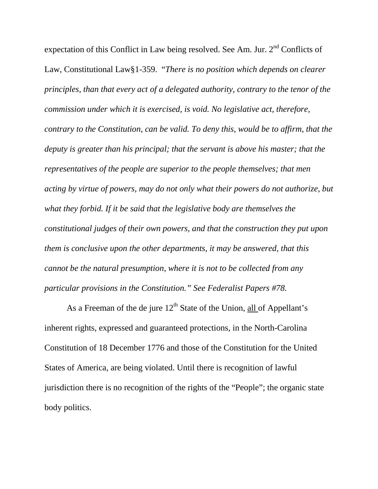expectation of this Conflict in Law being resolved. See Am. Jur. 2<sup>nd</sup> Conflicts of Law, Constitutional Law§1-359. "*There is no position which depends on clearer principles, than that every act of a delegated authority, contrary to the tenor of the commission under which it is exercised, is void. No legislative act, therefore, contrary to the Constitution, can be valid. To deny this, would be to affirm, that the deputy is greater than his principal; that the servant is above his master; that the representatives of the people are superior to the people themselves; that men acting by virtue of powers, may do not only what their powers do not authorize, but what they forbid. If it be said that the legislative body are themselves the constitutional judges of their own powers, and that the construction they put upon them is conclusive upon the other departments, it may be answered, that this cannot be the natural presumption, where it is not to be collected from any particular provisions in the Constitution." See Federalist Papers #78.*

As a Freeman of the de jure  $12<sup>th</sup>$  State of the Union, all of Appellant's inherent rights, expressed and guaranteed protections, in the North-Carolina Constitution of 18 December 1776 and those of the Constitution for the United States of America, are being violated. Until there is recognition of lawful jurisdiction there is no recognition of the rights of the "People"; the organic state body politics.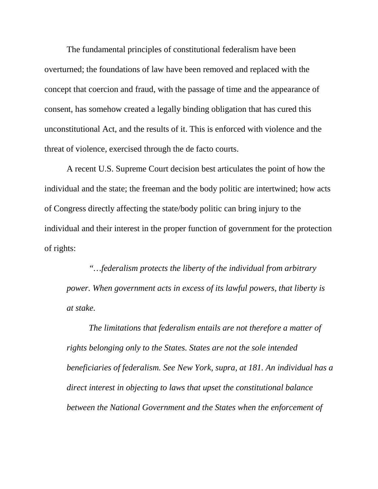The fundamental principles of constitutional federalism have been overturned; the foundations of law have been removed and replaced with the concept that coercion and fraud, with the passage of time and the appearance of consent, has somehow created a legally binding obligation that has cured this unconstitutional Act, and the results of it. This is enforced with violence and the threat of violence, exercised through the de facto courts.

A recent U.S. Supreme Court decision best articulates the point of how the individual and the state; the freeman and the body politic are intertwined; how acts of Congress directly affecting the state/body politic can bring injury to the individual and their interest in the proper function of government for the protection of rights:

*"…federalism protects the liberty of the individual from arbitrary power. When government acts in excess of its lawful powers, that liberty is at stake.* 

*The limitations that federalism entails are not therefore a matter of rights belonging only to the States. States are not the sole intended beneficiaries of federalism. See New York, supra, at 181. An individual has a direct interest in objecting to laws that upset the constitutional balance between the National Government and the States when the enforcement of*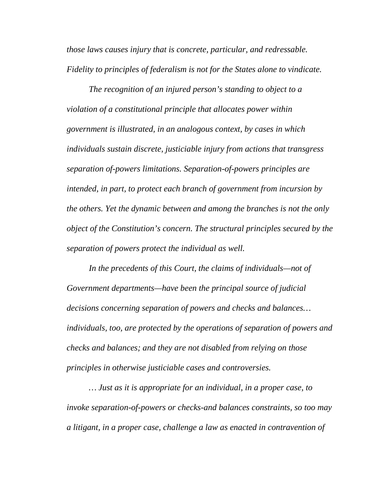*those laws causes injury that is concrete, particular, and redressable. Fidelity to principles of federalism is not for the States alone to vindicate.* 

*The recognition of an injured person's standing to object to a violation of a constitutional principle that allocates power within government is illustrated, in an analogous context, by cases in which individuals sustain discrete, justiciable injury from actions that transgress separation of-powers limitations. Separation-of-powers principles are intended, in part, to protect each branch of government from incursion by the others. Yet the dynamic between and among the branches is not the only object of the Constitution's concern. The structural principles secured by the separation of powers protect the individual as well.*

In the precedents of this Court, the claims of individuals—not of *Government departments—have been the principal source of judicial decisions concerning separation of powers and checks and balances… individuals, too, are protected by the operations of separation of powers and checks and balances; and they are not disabled from relying on those principles in otherwise justiciable cases and controversies.*

*… Just as it is appropriate for an individual, in a proper case, to invoke separation-of-powers or checks-and balances constraints, so too may a litigant, in a proper case, challenge a law as enacted in contravention of*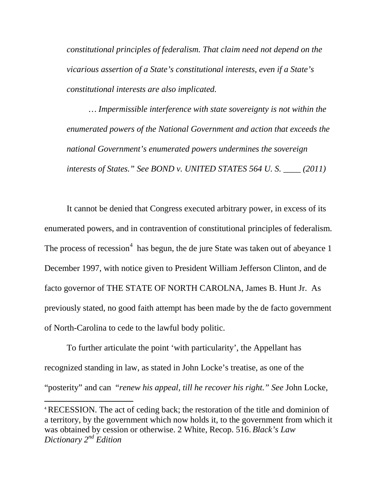*constitutional principles of federalism. That claim need not depend on the vicarious assertion of a State's constitutional interests, even if a State's constitutional interests are also implicated.*

*… Impermissible interference with state sovereignty is not within the enumerated powers of the National Government and action that exceeds the national Government's enumerated powers undermines the sovereign interests of States." See BOND v. UNITED STATES 564 U. S. \_\_\_\_ (2011)*

It cannot be denied that Congress executed arbitrary power, in excess of its enumerated powers, and in contravention of constitutional principles of federalism. The process of recession<sup>[4](#page-8-0)</sup> has begun, the de jure State was taken out of abeyance  $1$ December 1997, with notice given to President William Jefferson Clinton, and de facto governor of THE STATE OF NORTH CAROLNA, James B. Hunt Jr. As previously stated, no good faith attempt has been made by the de facto government of North-Carolina to cede to the lawful body politic.

To further articulate the point 'with particularity', the Appellant has recognized standing in law, as stated in John Locke's treatise, as one of the "posterity" and can "*renew his appeal, till he recover his right." See* John Locke,

<span id="page-8-0"></span> <sup>4</sup>RECESSION. The act of ceding back; the restoration of the title and dominion of a territory, by the government which now holds it, to the government from which it was obtained by cession or otherwise. 2 White, Recop. 516. *Black's Law Dictionary 2nd Edition*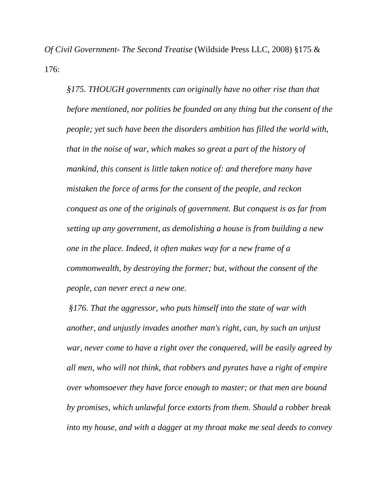*Of Civil Government- The Second Treatise* (Wildside Press LLC, 2008) §175 & 176:

*§175. THOUGH governments can originally have no other rise than that before mentioned, nor polities be founded on any thing but the consent of the people; yet such have been the disorders ambition has filled the world with, that in the noise of war, which makes so great a part of the history of mankind, this consent is little taken notice of: and therefore many have mistaken the force of arms for the consent of the people, and reckon conquest as one of the originals of government. But conquest is as far from setting up any government, as demolishing a house is from building a new one in the place. Indeed, it often makes way for a new frame of a commonwealth, by destroying the former; but, without the consent of the people, can never erect a new one.*

*§176. That the aggressor, who puts himself into the state of war with another, and unjustly invades another man's right, can, by such an unjust war, never come to have a right over the conquered, will be easily agreed by all men, who will not think, that robbers and pyrates have a right of empire over whomsoever they have force enough to master; or that men are bound by promises, which unlawful force extorts from them. Should a robber break into my house, and with a dagger at my throat make me seal deeds to convey*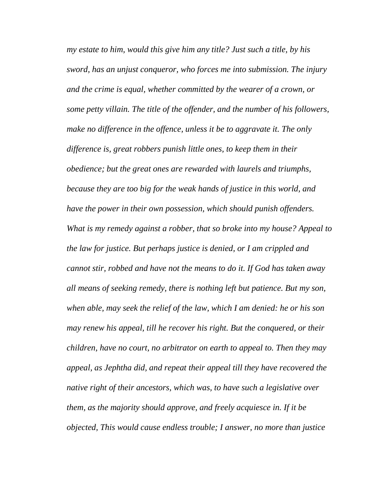*my estate to him, would this give him any title? Just such a title, by his sword, has an unjust conqueror, who forces me into submission. The injury and the crime is equal, whether committed by the wearer of a crown, or some petty villain. The title of the offender, and the number of his followers, make no difference in the offence, unless it be to aggravate it. The only difference is, great robbers punish little ones, to keep them in their obedience; but the great ones are rewarded with laurels and triumphs, because they are too big for the weak hands of justice in this world, and have the power in their own possession, which should punish offenders. What is my remedy against a robber, that so broke into my house? Appeal to the law for justice. But perhaps justice is denied, or I am crippled and cannot stir, robbed and have not the means to do it. If God has taken away all means of seeking remedy, there is nothing left but patience. But my son, when able, may seek the relief of the law, which I am denied: he or his son may renew his appeal, till he recover his right. But the conquered, or their children, have no court, no arbitrator on earth to appeal to. Then they may appeal, as Jephtha did, and repeat their appeal till they have recovered the native right of their ancestors, which was, to have such a legislative over them, as the majority should approve, and freely acquiesce in. If it be objected, This would cause endless trouble; I answer, no more than justice*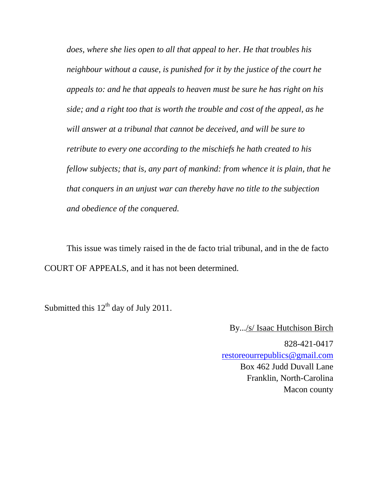*does, where she lies open to all that appeal to her. He that troubles his neighbour without a cause, is punished for it by the justice of the court he appeals to: and he that appeals to heaven must be sure he has right on his side; and a right too that is worth the trouble and cost of the appeal, as he will answer at a tribunal that cannot be deceived, and will be sure to retribute to every one according to the mischiefs he hath created to his fellow subjects; that is, any part of mankind: from whence it is plain, that he that conquers in an unjust war can thereby have no title to the subjection and obedience of the conquered.*

This issue was timely raised in the de facto trial tribunal, and in the de facto COURT OF APPEALS, and it has not been determined.

Submitted this  $12<sup>th</sup>$  day of July 2011.

By.../s/ Isaac Hutchison Birch 828-421-0417 [restoreourrepublics@gmail.com](mailto:restoreourrepublics@gmail.com) Box 462 Judd Duvall Lane Franklin, North-Carolina Macon county